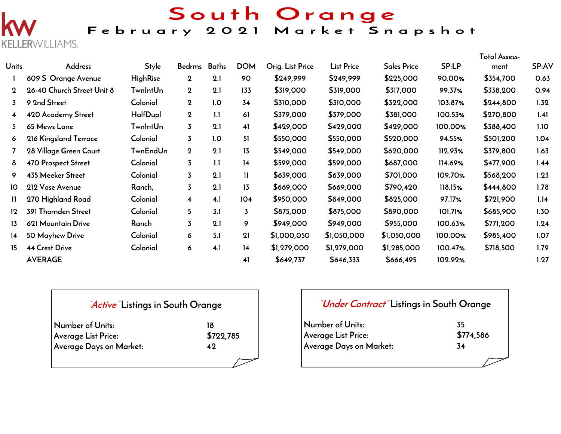South Orange

# February 2021 Market Snapshot

ERWILLIAMS.

|             |                            |                 |                         |     |                |                  |                   |                    |         | <b>Total Assess-</b> |       |
|-------------|----------------------------|-----------------|-------------------------|-----|----------------|------------------|-------------------|--------------------|---------|----------------------|-------|
| Units       | <b>Address</b>             | <b>Style</b>    | Bedrms Baths            |     | <b>DOM</b>     | Orig. List Price | <b>List Price</b> | <b>Sales Price</b> | SP:LP   | ment                 | SP:AV |
|             | 609 S Orange Avenue        | <b>HighRise</b> | $\boldsymbol{2}$        | 2.1 | 90             | \$249,999        | \$249,999         | \$225,000          | 90.00%  | \$354,700            | 0.63  |
| $\mathbf 2$ | 26-40 Church Street Unit 8 | <b>TwnIntUn</b> | $\mathbf 2$             | 2.1 | 133            | \$319,000        | \$319,000         | \$317,000          | 99.37%  | \$338,200            | 0.94  |
| 3           | 9 2nd Street               | Colonial        | $\mathbf{2}$            | 1.0 | 34             | \$310,000        | \$310,000         | \$322,000          | 103.87% | \$244,800            | 1.32  |
| 4           | 420 Academy Street         | HalfDupl        | $\mathbf 2$             | 1.1 | 61             | \$379,000        | \$379,000         | \$381,000          | 100.53% | \$270,800            | 1.41  |
| 5.          | 65 Mews Lane               | TwnIntUn        | $\overline{3}$          | 2.1 | 41             | \$429,000        | \$429,000         | \$429,000          | 100.00% | \$388,400            | 1.10  |
| 6           | 216 Kingsland Terrace      | Colonial        | $\overline{3}$          | 1.0 | 51             | \$550,000        | \$550,000         | \$520,000          | 94.55%  | \$501,200            | 1.04  |
|             | 28 Village Green Court     | TwnEndUn        | $\overline{2}$          | 2.1 | 13             | \$549,000        | \$549,000         | \$620,000          | 112.93% | \$379,800            | 1.63  |
| 8           | <b>470 Prospect Street</b> | Colonial        | $\overline{3}$          | 1.1 | 14             | \$599,000        | \$599,000         | \$687,000          | 114.69% | \$477,900            | 1.44  |
| 9           | 435 Meeker Street          | Colonial        | $\overline{3}$          | 2.1 | $\mathbf{1}$   | \$639,000        | \$639,000         | \$701,000          | 109.70% | \$568,200            | 1.23  |
| 10          | 212 Vose Avenue            | Ranch,          | $\overline{3}$          | 2.1 | 13             | \$669,000        | \$669,000         | \$790,420          | 118.15% | \$444,800            | 1.78  |
| 11          | 270 Highland Road          | Colonial        | $\overline{\mathbf{4}}$ | 4.1 | 104            | \$950,000        | \$849,000         | \$825,000          | 97.17%  | \$721,900            | 1.14  |
| $12 \,$     | 391 Thornden Street        | Colonial        | 5                       | 3.1 | $\overline{3}$ | \$875,000        | \$875,000         | \$890,000          | 101.71% | \$685,900            | 1.30  |
| 13          | 621 Mountain Drive         | Ranch           | $\overline{3}$          | 2.1 | 9              | \$949,000        | \$949,000         | \$955,000          | 100.63% | \$771,200            | 1.24  |
| 14          | 50 Mayhew Drive            | Colonial        | 6                       | 5.1 | 21             | \$1,000,050      | \$1,050,000       | \$1,050,000        | 100.00% | \$985,400            | 1.07  |
| 15          | <b>44 Crest Drive</b>      | Colonial        | 6                       | 4.1 | 14             | \$1,279,000      | \$1,279,000       | \$1,285,000        | 100.47% | \$718,500            | 1.79  |
|             | <b>AVERAGE</b>             |                 |                         |     | 41             | \$649,737        | \$646,333         | \$666,495          | 102.92% |                      | 1.27  |

## **"Active" Listings in South Orange**

| Number of Units:           | 18        |  |  |  |
|----------------------------|-----------|--|--|--|
| <b>Average List Price:</b> | \$722,785 |  |  |  |
| Average Days on Market:    | 49        |  |  |  |
|                            |           |  |  |  |

## **"Under Contract" Listings in South Orange**

| Number of Units:        | 35        |
|-------------------------|-----------|
| Average List Price:     | \$774,586 |
| Average Days on Market: | 34        |
|                         |           |